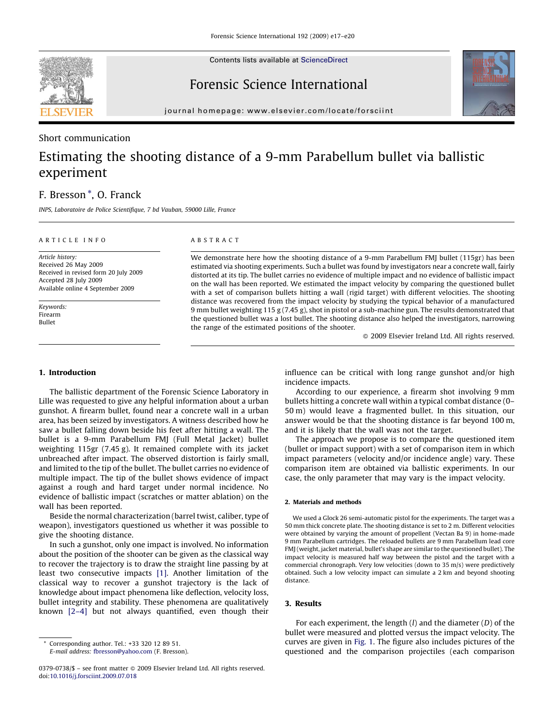

Contents lists available at [ScienceDirect](http://www.sciencedirect.com/science/journal/03790738)

Forensic Science International



journal homepage: www.elsevier.com/locate/forsciint

### Short communication

# Estimating the shooting distance of a 9-mm Parabellum bullet via ballistic experiment

## F. Bresson \*, O. Franck

INPS, Laboratoire de Police Scientifique, 7 bd Vauban, 59000 Lille, France

#### ARTICLE INFO

ABSTRACT

Article history: Received 26 May 2009 Received in revised form 20 July 2009 Accepted 28 July 2009 Available online 4 September 2009

Keywords: Firearm Bullet

We demonstrate here how the shooting distance of a 9-mm Parabellum FMJ bullet (115gr) has been estimated via shooting experiments. Such a bullet was found by investigators near a concrete wall, fairly distorted at its tip. The bullet carries no evidence of multiple impact and no evidence of ballistic impact on the wall has been reported. We estimated the impact velocity by comparing the questioned bullet with a set of comparison bullets hitting a wall (rigid target) with different velocities. The shooting distance was recovered from the impact velocity by studying the typical behavior of a manufactured 9 mm bullet weighting 115 g (7.45 g), shot in pistol or a sub-machine gun. The results demonstrated that the questioned bullet was a lost bullet. The shooting distance also helped the investigators, narrowing the range of the estimated positions of the shooter.

 $\odot$  2009 Elsevier Ireland Ltd. All rights reserved.

#### 1. Introduction

The ballistic department of the Forensic Science Laboratory in Lille was requested to give any helpful information about a urban gunshot. A firearm bullet, found near a concrete wall in a urban area, has been seized by investigators. A witness described how he saw a bullet falling down beside his feet after hitting a wall. The bullet is a 9-mm Parabellum FMJ (Full Metal Jacket) bullet weighting 115gr (7.45 g). It remained complete with its jacket unbreached after impact. The observed distortion is fairly small, and limited to the tip of the bullet. The bullet carries no evidence of multiple impact. The tip of the bullet shows evidence of impact against a rough and hard target under normal incidence. No evidence of ballistic impact (scratches or matter ablation) on the wall has been reported.

Beside the normal characterization (barrel twist, caliber, type of weapon), investigators questioned us whether it was possible to give the shooting distance.

In such a gunshot, only one impact is involved. No information about the position of the shooter can be given as the classical way to recover the trajectory is to draw the straight line passing by at least two consecutive impacts [\[1\]](#page-3-0). Another limitation of the classical way to recover a gunshot trajectory is the lack of knowledge about impact phenomena like deflection, velocity loss, bullet integrity and stability. These phenomena are qualitatively known [\[2–4\]](#page-3-0) but not always quantified, even though their

E-mail address: [fbresson@yahoo.com](mailto:fbresson@yahoo.com) (F. Bresson).

influence can be critical with long range gunshot and/or high incidence impacts.

According to our experience, a firearm shot involving 9 mm bullets hitting a concrete wall within a typical combat distance (0– 50 m) would leave a fragmented bullet. In this situation, our answer would be that the shooting distance is far beyond 100 m, and it is likely that the wall was not the target.

The approach we propose is to compare the questioned item (bullet or impact support) with a set of comparison item in which impact parameters (velocity and/or incidence angle) vary. These comparison item are obtained via ballistic experiments. In our case, the only parameter that may vary is the impact velocity.

#### 2. Materials and methods

We used a Glock 26 semi-automatic pistol for the experiments. The target was a 50 mm thick concrete plate. The shooting distance is set to 2 m. Different velocities were obtained by varying the amount of propellent (Vectan Ba 9) in home-made 9 mm Parabellum cartridges. The reloaded bullets are 9 mm Parabellum lead core FMJ (weight, jacket material, bullet's shape are similar to the questioned bullet). The impact velocity is measured half way between the pistol and the target with a commercial chronograph. Very low velocities (down to 35 m/s) were predictively obtained. Such a low velocity impact can simulate a 2 km and beyond shooting distance.

#### 3. Results

For each experiment, the length  $(l)$  and the diameter  $(D)$  of the bullet were measured and plotted versus the impact velocity. The curves are given in [Fig. 1.](#page-1-0) The figure also includes pictures of the questioned and the comparison projectiles (each comparison

Corresponding author. Tel.: +33 320 12 89 51.

 $0379-0738/\$  – see front matter  $\odot$  2009 Elsevier Ireland Ltd. All rights reserved. doi:[10.1016/j.forsciint.2009.07.018](http://dx.doi.org/10.1016/j.forsciint.2009.07.018)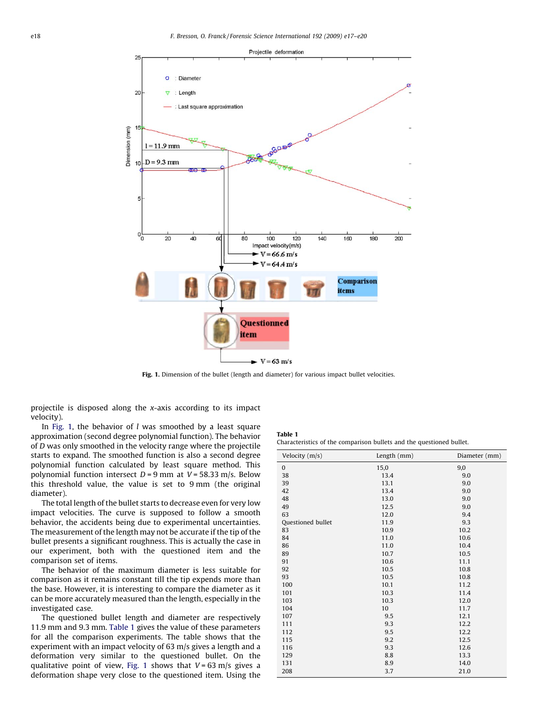<span id="page-1-0"></span>

Fig. 1. Dimension of the bullet (length and diameter) for various impact bullet velocities.

projectile is disposed along the x-axis according to its impact velocity).

In Fig. 1, the behavior of  $l$  was smoothed by a least square approximation (second degree polynomial function). The behavior of D was only smoothed in the velocity range where the projectile starts to expand. The smoothed function is also a second degree polynomial function calculated by least square method. This polynomial function intersect  $D = 9$  mm at  $V = 58.33$  m/s. Below this threshold value, the value is set to 9 mm (the original diameter).

The total length of the bullet starts to decrease even for very low impact velocities. The curve is supposed to follow a smooth behavior, the accidents being due to experimental uncertainties. The measurement of the length may not be accurate if the tip of the bullet presents a significant roughness. This is actually the case in our experiment, both with the questioned item and the comparison set of items.

The behavior of the maximum diameter is less suitable for comparison as it remains constant till the tip expends more than the base. However, it is interesting to compare the diameter as it can be more accurately measured than the length, especially in the investigated case.

The questioned bullet length and diameter are respectively 11.9 mm and 9.3 mm. Table 1 gives the value of these parameters for all the comparison experiments. The table shows that the experiment with an impact velocity of 63 m/s gives a length and a deformation very similar to the questioned bullet. On the qualitative point of view, Fig. 1 shows that  $V = 63$  m/s gives a deformation shape very close to the questioned item. Using the

| Table 1                                                              |  |  |
|----------------------------------------------------------------------|--|--|
| Characteristics of the comparison bullets and the questioned bullet. |  |  |

| Velocity (m/s)           | Length (mm) | Diameter (mm) |
|--------------------------|-------------|---------------|
| $\bf{0}$                 | 15,0        | 9,0           |
| 38                       | 13.4        | 9.0           |
| 39                       | 13.1        | 9.0           |
| 42                       | 13.4        | 9.0           |
| 48                       | 13.0        | 9.0           |
| 49                       | 12.5        | 9.0           |
| 63                       | 12.0        | 9.4           |
| <b>Questioned bullet</b> | 11.9        | 9.3           |
| 83                       | 10.9        | 10.2          |
| 84                       | 11.0        | 10.6          |
| 86                       | 11.0        | 10.4          |
| 89                       | 10.7        | 10.5          |
| 91                       | 10.6        | 11.1          |
| 92                       | 10.5        | 10.8          |
| 93                       | 10.5        | 10.8          |
| 100                      | 10.1        | 11.2          |
| 101                      | 10.3        | 11.4          |
| 103                      | 10.3        | 12.0          |
| 104                      | 10          | 11.7          |
| 107                      | 9.5         | 12.1          |
| 111                      | 9.3         | 12.2          |
| 112                      | 9.5         | 12.2          |
| 115                      | 9.2         | 12.5          |
| 116                      | 9.3         | 12.6          |
| 129                      | 8.8         | 13.3          |
| 131                      | 8.9         | 14.0          |
| 208                      | 3.7         | 21.0          |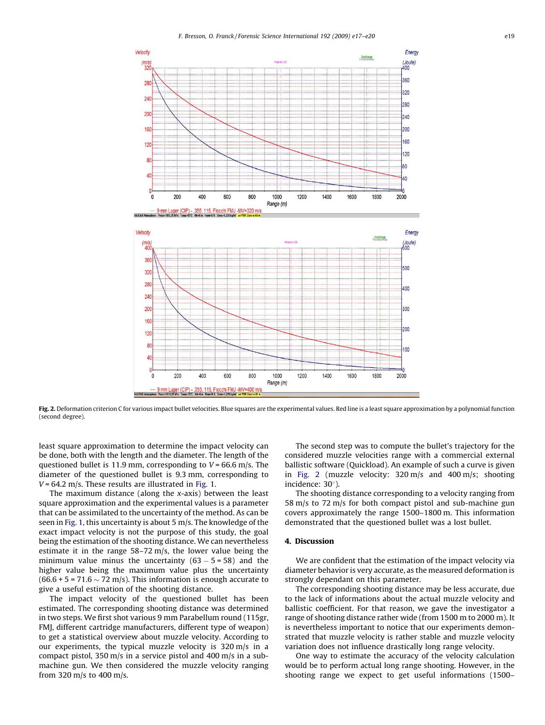F. Bresson, O. Franck / Forensic Science International 192 (2009) e17–e20 e19



Fig. 2. Deformation criterion C for various impact bullet velocities. Blue squares are the experimental values. Red line is a least square approximation by a polynomial function (second degree).

least square approximation to determine the impact velocity can be done, both with the length and the diameter. The length of the questioned bullet is 11.9 mm, corresponding to  $V = 66.6$  m/s. The diameter of the questioned bullet is 9.3 mm, corresponding to  $V = 64.2$  m/s. These results are illustrated in [Fig. 1.](#page-1-0)

The maximum distance (along the  $x$ -axis) between the least square approximation and the experimental values is a parameter that can be assimilated to the uncertainty of the method. As can be seen in [Fig. 1,](#page-1-0) this uncertainty is about 5 m/s. The knowledge of the exact impact velocity is not the purpose of this study, the goal being the estimation of the shooting distance. We can nevertheless estimate it in the range 58–72 m/s, the lower value being the minimum value minus the uncertainty  $(63 - 5 = 58)$  and the higher value being the maximum value plus the uncertainty  $(66.6 + 5 = 71.6 \sim 72 \text{ m/s})$ . This information is enough accurate to give a useful estimation of the shooting distance.

The impact velocity of the questioned bullet has been estimated. The corresponding shooting distance was determined in two steps. We first shot various 9 mm Parabellum round (115gr, FMJ, different cartridge manufacturers, different type of weapon) to get a statistical overview about muzzle velocity. According to our experiments, the typical muzzle velocity is 320 m/s in a compact pistol, 350 m/s in a service pistol and 400 m/s in a submachine gun. We then considered the muzzle velocity ranging from 320 m/s to 400 m/s.

The second step was to compute the bullet's trajectory for the considered muzzle velocities range with a commercial external ballistic software (Quickload). An example of such a curve is given in Fig. 2 (muzzle velocity: 320 m/s and 400 m/s; shooting incidence:  $30^\circ$ ).

The shooting distance corresponding to a velocity ranging from 58 m/s to 72 m/s for both compact pistol and sub-machine gun covers approximately the range 1500–1800 m. This information demonstrated that the questioned bullet was a lost bullet.

#### 4. Discussion

We are confident that the estimation of the impact velocity via diameter behavior is very accurate, as the measured deformation is strongly dependant on this parameter.

The corresponding shooting distance may be less accurate, due to the lack of informations about the actual muzzle velocity and ballistic coefficient. For that reason, we gave the investigator a range of shooting distance rather wide (from 1500 m to 2000 m). It is nevertheless important to notice that our experiments demonstrated that muzzle velocity is rather stable and muzzle velocity variation does not influence drastically long range velocity.

One way to estimate the accuracy of the velocity calculation would be to perform actual long range shooting. However, in the shooting range we expect to get useful informations (1500–